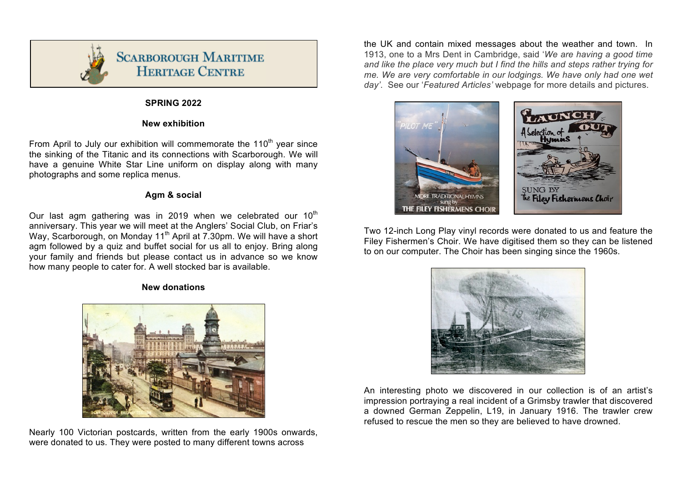

## **SPRING 2022**

### **New exhibition**

From April to July our exhibition will commemorate the  $110<sup>th</sup>$  year since the sinking of the Titanic and its connections with Scarborough. We will have a genuine White Star Line uniform on display along with many photographs and some replica menus.

### **Agm & social**

Our last agm gathering was in 2019 when we celebrated our  $10<sup>th</sup>$ anniversary. This year we will meet at the Anglers' Social Club, on Friar's Way, Scarborough, on Monday 11<sup>th</sup> April at 7.30pm. We will have a short agm followed by a quiz and buffet social for us all to enjoy. Bring along your family and friends but please contact us in advance so we know how many people to cater for. A well stocked bar is available.

#### **New donations**



Nearly 100 Victorian postcards, written from the early 1900s onwards, were donated to us. They were posted to many different towns across

the UK and contain mixed messages about the weather and town. In 1913, one to a Mrs Dent in Cambridge, said '*We are having a good time and like the place very much but I find the hills and steps rather trying for me. We are very comfortable in our lodgings. We have only had one wet day'*. See our '*Featured Articles'* webpage for more details and pictures.



Two 12-inch Long Play vinyl records were donated to us and feature the Filey Fishermen's Choir. We have digitised them so they can be listened to on our computer. The Choir has been singing since the 1960s.



An interesting photo we discovered in our collection is of an artist's impression portraying a real incident of a Grimsby trawler that discovered a downed German Zeppelin, L19, in January 1916. The trawler crew refused to rescue the men so they are believed to have drowned.